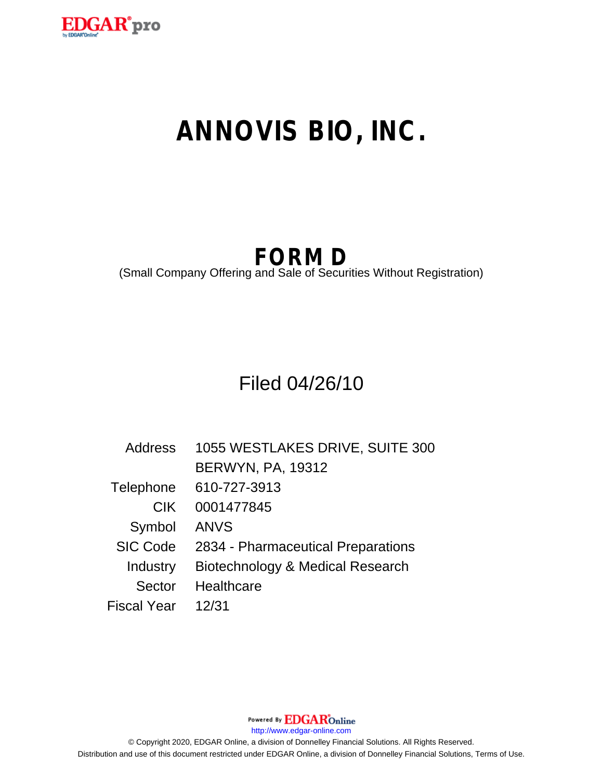

# **ANNOVIS BIO, INC.**

## **FORM D**

(Small Company Offering and Sale of Securities Without Registration)

### Filed 04/26/10

| Address            | 1055 WESTLAKES DRIVE, SUITE 300    |
|--------------------|------------------------------------|
|                    | <b>BERWYN, PA, 19312</b>           |
| Telephone          | 610-727-3913                       |
| <b>CIK</b>         | 0001477845                         |
| Symbol             | <b>ANVS</b>                        |
| <b>SIC Code</b>    | 2834 - Pharmaceutical Preparations |
| Industry           | Biotechnology & Medical Research   |
| Sector             | <b>Healthcare</b>                  |
| <b>Fiscal Year</b> | 12/31                              |

Powered By **EDGAR**Online http://www.edgar-online.com © Copyright 2020, EDGAR Online, a division of Donnelley Financial Solutions. All Rights Reserved.

Distribution and use of this document restricted under EDGAR Online, a division of Donnelley Financial Solutions, Terms of Use.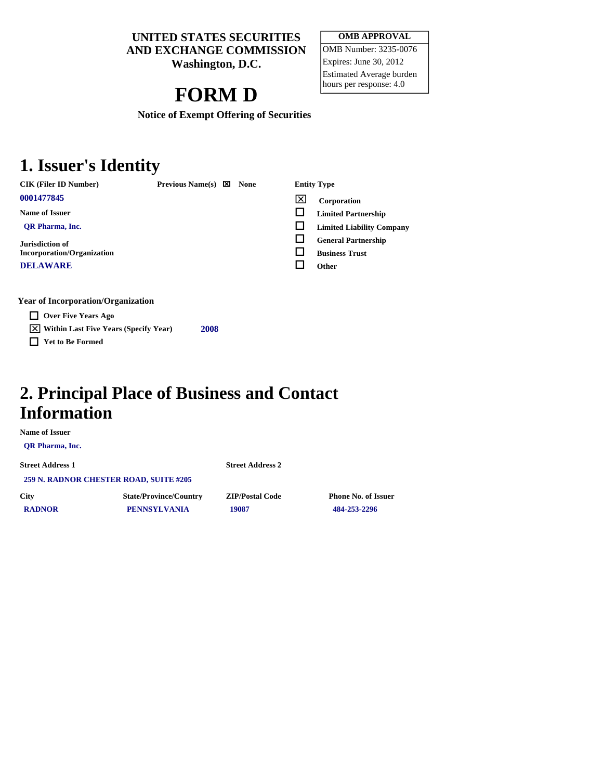**UNITED STATES SECURITIES AND EXCHANGE COMMISSION** 

**Washington, D.C.** 

### **FORM D**

**OMB APPROVAL**  OMB Number: 3235-0076 Expires: June 30, 2012 Estimated Average burden hours per response: 4.0

**Notice of Exempt Offering of Securities** 

#### **1. Issuer's Identity**

CIK (Filer ID Number) **Previous Name(s) X** None Entity Type

**Name of Issuer** 

 **QR Pharma, Inc.** 

**Jurisdiction of Incorporation/Organization** 

**DELAWARE** 

**Year of Incorporation/Organization** 

**Over Five Years Ago** 

**Within Last Five Years (Specify Year) <sup>2008</sup>**

**Yet to Be Formed** 

**<sup>0001477845</sup> Corporation** 

**Limited Partnership** 

**Limited Liability Company** 

 **General Partnership Business Trust** 

**Other** 

**2. Principal Place of Business and Contact** 

#### **Information**

**Name of Issuer** 

 **QR Pharma, Inc.** 

**Street Address 1 Street Address 2 259 N. RADNOR CHESTER ROAD, SUITE #205** 

 **RADNOR PENNSYLVANIA 19087 484-253-2296** 

**City State/Province/Country ZIP/Postal Code Phone No. of Issuer**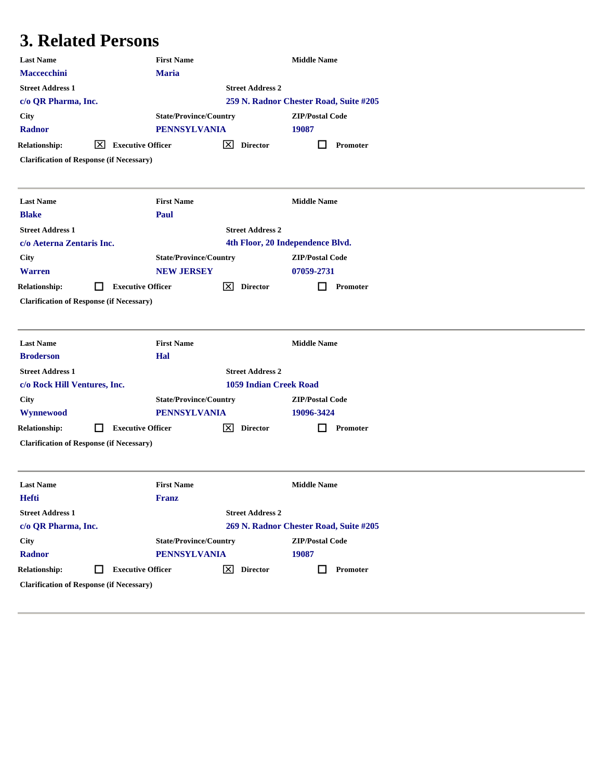### **3. Related Persons**

| <b>Maria</b><br><b>Maccecchini</b><br><b>Street Address 1</b><br><b>Street Address 2</b><br>259 N. Radnor Chester Road, Suite #205<br>c/o QR Pharma, Inc.<br><b>ZIP/Postal Code</b><br><b>City</b><br><b>State/Province/Country</b><br><b>PENNSYLVANIA</b><br>19087<br><b>Radnor</b><br><b>Relationship:</b><br><b>Executive Officer</b><br>⊠<br><u>ι×ι</u><br><b>Director</b><br>Promoter<br><b>Clarification of Response (if Necessary)</b><br><b>Last Name</b><br><b>First Name</b><br><b>Middle Name</b><br><b>Blake</b><br>Paul<br><b>Street Address 2</b><br><b>Street Address 1</b><br>c/o Aeterna Zentaris Inc.<br>4th Floor, 20 Independence Blvd.<br><b>State/Province/Country</b><br><b>ZIP/Postal Code</b><br><b>City</b><br><b>Warren</b><br><b>NEW JERSEY</b><br>07059-2731<br>⋈<br><b>Relationship:</b><br><b>Executive Officer</b><br><b>Director</b><br>Promoter<br>ΙI<br><b>Clarification of Response (if Necessary)</b><br><b>Last Name</b><br><b>First Name</b><br><b>Middle Name</b><br><b>Broderson</b><br>Hal<br><b>Street Address 1</b><br><b>Street Address 2</b><br><b>1059 Indian Creek Road</b><br>c/o Rock Hill Ventures, Inc.<br><b>State/Province/Country</b><br><b>City</b><br><b>ZIP/Postal Code</b><br><b>PENNSYLVANIA</b><br>Wynnewood<br>19096-3424<br>⊠<br><b>Relationship:</b><br><b>Executive Officer</b><br><b>Director</b><br>Promoter<br>H<br><b>Clarification of Response (if Necessary)</b><br><b>First Name</b><br><b>Middle Name</b><br><b>Last Name</b><br>Hefti<br><b>Franz</b><br><b>Street Address 1</b><br><b>Street Address 2</b><br>269 N. Radnor Chester Road, Suite #205<br>c/o QR Pharma, Inc.<br><b>State/Province/Country</b><br><b>ZIP/Postal Code</b><br><b>City</b><br><b>PENNSYLVANIA</b><br>19087<br>Radnor<br><b>Relationship:</b><br>⊠<br><b>Executive Officer</b><br><b>Director</b><br>Promoter<br>ΙI<br>ш<br><b>Clarification of Response (if Necessary)</b> | <b>Last Name</b> | <b>First Name</b> |  | <b>Middle Name</b> |  |
|----------------------------------------------------------------------------------------------------------------------------------------------------------------------------------------------------------------------------------------------------------------------------------------------------------------------------------------------------------------------------------------------------------------------------------------------------------------------------------------------------------------------------------------------------------------------------------------------------------------------------------------------------------------------------------------------------------------------------------------------------------------------------------------------------------------------------------------------------------------------------------------------------------------------------------------------------------------------------------------------------------------------------------------------------------------------------------------------------------------------------------------------------------------------------------------------------------------------------------------------------------------------------------------------------------------------------------------------------------------------------------------------------------------------------------------------------------------------------------------------------------------------------------------------------------------------------------------------------------------------------------------------------------------------------------------------------------------------------------------------------------------------------------------------------------------------------------------------------------------------------------------------------------------------------------|------------------|-------------------|--|--------------------|--|
|                                                                                                                                                                                                                                                                                                                                                                                                                                                                                                                                                                                                                                                                                                                                                                                                                                                                                                                                                                                                                                                                                                                                                                                                                                                                                                                                                                                                                                                                                                                                                                                                                                                                                                                                                                                                                                                                                                                                  |                  |                   |  |                    |  |
|                                                                                                                                                                                                                                                                                                                                                                                                                                                                                                                                                                                                                                                                                                                                                                                                                                                                                                                                                                                                                                                                                                                                                                                                                                                                                                                                                                                                                                                                                                                                                                                                                                                                                                                                                                                                                                                                                                                                  |                  |                   |  |                    |  |
|                                                                                                                                                                                                                                                                                                                                                                                                                                                                                                                                                                                                                                                                                                                                                                                                                                                                                                                                                                                                                                                                                                                                                                                                                                                                                                                                                                                                                                                                                                                                                                                                                                                                                                                                                                                                                                                                                                                                  |                  |                   |  |                    |  |
|                                                                                                                                                                                                                                                                                                                                                                                                                                                                                                                                                                                                                                                                                                                                                                                                                                                                                                                                                                                                                                                                                                                                                                                                                                                                                                                                                                                                                                                                                                                                                                                                                                                                                                                                                                                                                                                                                                                                  |                  |                   |  |                    |  |
|                                                                                                                                                                                                                                                                                                                                                                                                                                                                                                                                                                                                                                                                                                                                                                                                                                                                                                                                                                                                                                                                                                                                                                                                                                                                                                                                                                                                                                                                                                                                                                                                                                                                                                                                                                                                                                                                                                                                  |                  |                   |  |                    |  |
|                                                                                                                                                                                                                                                                                                                                                                                                                                                                                                                                                                                                                                                                                                                                                                                                                                                                                                                                                                                                                                                                                                                                                                                                                                                                                                                                                                                                                                                                                                                                                                                                                                                                                                                                                                                                                                                                                                                                  |                  |                   |  |                    |  |
|                                                                                                                                                                                                                                                                                                                                                                                                                                                                                                                                                                                                                                                                                                                                                                                                                                                                                                                                                                                                                                                                                                                                                                                                                                                                                                                                                                                                                                                                                                                                                                                                                                                                                                                                                                                                                                                                                                                                  |                  |                   |  |                    |  |
|                                                                                                                                                                                                                                                                                                                                                                                                                                                                                                                                                                                                                                                                                                                                                                                                                                                                                                                                                                                                                                                                                                                                                                                                                                                                                                                                                                                                                                                                                                                                                                                                                                                                                                                                                                                                                                                                                                                                  |                  |                   |  |                    |  |
|                                                                                                                                                                                                                                                                                                                                                                                                                                                                                                                                                                                                                                                                                                                                                                                                                                                                                                                                                                                                                                                                                                                                                                                                                                                                                                                                                                                                                                                                                                                                                                                                                                                                                                                                                                                                                                                                                                                                  |                  |                   |  |                    |  |
|                                                                                                                                                                                                                                                                                                                                                                                                                                                                                                                                                                                                                                                                                                                                                                                                                                                                                                                                                                                                                                                                                                                                                                                                                                                                                                                                                                                                                                                                                                                                                                                                                                                                                                                                                                                                                                                                                                                                  |                  |                   |  |                    |  |
|                                                                                                                                                                                                                                                                                                                                                                                                                                                                                                                                                                                                                                                                                                                                                                                                                                                                                                                                                                                                                                                                                                                                                                                                                                                                                                                                                                                                                                                                                                                                                                                                                                                                                                                                                                                                                                                                                                                                  |                  |                   |  |                    |  |
|                                                                                                                                                                                                                                                                                                                                                                                                                                                                                                                                                                                                                                                                                                                                                                                                                                                                                                                                                                                                                                                                                                                                                                                                                                                                                                                                                                                                                                                                                                                                                                                                                                                                                                                                                                                                                                                                                                                                  |                  |                   |  |                    |  |
|                                                                                                                                                                                                                                                                                                                                                                                                                                                                                                                                                                                                                                                                                                                                                                                                                                                                                                                                                                                                                                                                                                                                                                                                                                                                                                                                                                                                                                                                                                                                                                                                                                                                                                                                                                                                                                                                                                                                  |                  |                   |  |                    |  |
|                                                                                                                                                                                                                                                                                                                                                                                                                                                                                                                                                                                                                                                                                                                                                                                                                                                                                                                                                                                                                                                                                                                                                                                                                                                                                                                                                                                                                                                                                                                                                                                                                                                                                                                                                                                                                                                                                                                                  |                  |                   |  |                    |  |
|                                                                                                                                                                                                                                                                                                                                                                                                                                                                                                                                                                                                                                                                                                                                                                                                                                                                                                                                                                                                                                                                                                                                                                                                                                                                                                                                                                                                                                                                                                                                                                                                                                                                                                                                                                                                                                                                                                                                  |                  |                   |  |                    |  |
|                                                                                                                                                                                                                                                                                                                                                                                                                                                                                                                                                                                                                                                                                                                                                                                                                                                                                                                                                                                                                                                                                                                                                                                                                                                                                                                                                                                                                                                                                                                                                                                                                                                                                                                                                                                                                                                                                                                                  |                  |                   |  |                    |  |
|                                                                                                                                                                                                                                                                                                                                                                                                                                                                                                                                                                                                                                                                                                                                                                                                                                                                                                                                                                                                                                                                                                                                                                                                                                                                                                                                                                                                                                                                                                                                                                                                                                                                                                                                                                                                                                                                                                                                  |                  |                   |  |                    |  |
|                                                                                                                                                                                                                                                                                                                                                                                                                                                                                                                                                                                                                                                                                                                                                                                                                                                                                                                                                                                                                                                                                                                                                                                                                                                                                                                                                                                                                                                                                                                                                                                                                                                                                                                                                                                                                                                                                                                                  |                  |                   |  |                    |  |
|                                                                                                                                                                                                                                                                                                                                                                                                                                                                                                                                                                                                                                                                                                                                                                                                                                                                                                                                                                                                                                                                                                                                                                                                                                                                                                                                                                                                                                                                                                                                                                                                                                                                                                                                                                                                                                                                                                                                  |                  |                   |  |                    |  |
|                                                                                                                                                                                                                                                                                                                                                                                                                                                                                                                                                                                                                                                                                                                                                                                                                                                                                                                                                                                                                                                                                                                                                                                                                                                                                                                                                                                                                                                                                                                                                                                                                                                                                                                                                                                                                                                                                                                                  |                  |                   |  |                    |  |
|                                                                                                                                                                                                                                                                                                                                                                                                                                                                                                                                                                                                                                                                                                                                                                                                                                                                                                                                                                                                                                                                                                                                                                                                                                                                                                                                                                                                                                                                                                                                                                                                                                                                                                                                                                                                                                                                                                                                  |                  |                   |  |                    |  |
|                                                                                                                                                                                                                                                                                                                                                                                                                                                                                                                                                                                                                                                                                                                                                                                                                                                                                                                                                                                                                                                                                                                                                                                                                                                                                                                                                                                                                                                                                                                                                                                                                                                                                                                                                                                                                                                                                                                                  |                  |                   |  |                    |  |
|                                                                                                                                                                                                                                                                                                                                                                                                                                                                                                                                                                                                                                                                                                                                                                                                                                                                                                                                                                                                                                                                                                                                                                                                                                                                                                                                                                                                                                                                                                                                                                                                                                                                                                                                                                                                                                                                                                                                  |                  |                   |  |                    |  |
|                                                                                                                                                                                                                                                                                                                                                                                                                                                                                                                                                                                                                                                                                                                                                                                                                                                                                                                                                                                                                                                                                                                                                                                                                                                                                                                                                                                                                                                                                                                                                                                                                                                                                                                                                                                                                                                                                                                                  |                  |                   |  |                    |  |
|                                                                                                                                                                                                                                                                                                                                                                                                                                                                                                                                                                                                                                                                                                                                                                                                                                                                                                                                                                                                                                                                                                                                                                                                                                                                                                                                                                                                                                                                                                                                                                                                                                                                                                                                                                                                                                                                                                                                  |                  |                   |  |                    |  |
|                                                                                                                                                                                                                                                                                                                                                                                                                                                                                                                                                                                                                                                                                                                                                                                                                                                                                                                                                                                                                                                                                                                                                                                                                                                                                                                                                                                                                                                                                                                                                                                                                                                                                                                                                                                                                                                                                                                                  |                  |                   |  |                    |  |
|                                                                                                                                                                                                                                                                                                                                                                                                                                                                                                                                                                                                                                                                                                                                                                                                                                                                                                                                                                                                                                                                                                                                                                                                                                                                                                                                                                                                                                                                                                                                                                                                                                                                                                                                                                                                                                                                                                                                  |                  |                   |  |                    |  |
|                                                                                                                                                                                                                                                                                                                                                                                                                                                                                                                                                                                                                                                                                                                                                                                                                                                                                                                                                                                                                                                                                                                                                                                                                                                                                                                                                                                                                                                                                                                                                                                                                                                                                                                                                                                                                                                                                                                                  |                  |                   |  |                    |  |
|                                                                                                                                                                                                                                                                                                                                                                                                                                                                                                                                                                                                                                                                                                                                                                                                                                                                                                                                                                                                                                                                                                                                                                                                                                                                                                                                                                                                                                                                                                                                                                                                                                                                                                                                                                                                                                                                                                                                  |                  |                   |  |                    |  |
|                                                                                                                                                                                                                                                                                                                                                                                                                                                                                                                                                                                                                                                                                                                                                                                                                                                                                                                                                                                                                                                                                                                                                                                                                                                                                                                                                                                                                                                                                                                                                                                                                                                                                                                                                                                                                                                                                                                                  |                  |                   |  |                    |  |
|                                                                                                                                                                                                                                                                                                                                                                                                                                                                                                                                                                                                                                                                                                                                                                                                                                                                                                                                                                                                                                                                                                                                                                                                                                                                                                                                                                                                                                                                                                                                                                                                                                                                                                                                                                                                                                                                                                                                  |                  |                   |  |                    |  |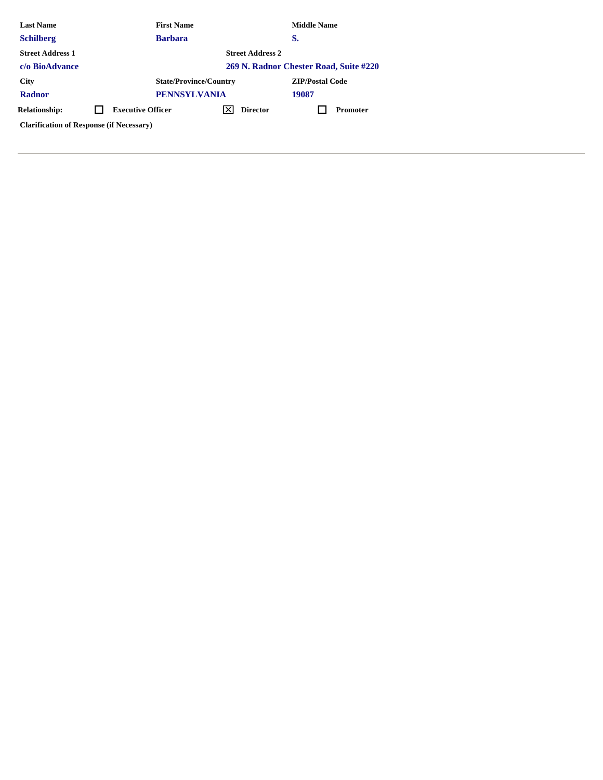| <b>Last Name</b>                                |  | <b>First Name</b>                      |  |                 | <b>Middle Name</b>     |                 |  |  |
|-------------------------------------------------|--|----------------------------------------|--|-----------------|------------------------|-----------------|--|--|
| <b>Schilberg</b>                                |  | <b>Barbara</b>                         |  |                 | S.                     |                 |  |  |
| <b>Street Address 1</b>                         |  | <b>Street Address 2</b>                |  |                 |                        |                 |  |  |
| c/o BioAdvance                                  |  | 269 N. Radnor Chester Road, Suite #220 |  |                 |                        |                 |  |  |
| <b>City</b>                                     |  | <b>State/Province/Country</b>          |  |                 | <b>ZIP/Postal Code</b> |                 |  |  |
| <b>Radnor</b>                                   |  | <b>PENNSYLVANIA</b>                    |  |                 | 19087                  |                 |  |  |
| <b>Relationship:</b>                            |  | <b>Executive Officer</b>               |  | <b>Director</b> |                        | <b>Promoter</b> |  |  |
| <b>Clarification of Response (if Necessary)</b> |  |                                        |  |                 |                        |                 |  |  |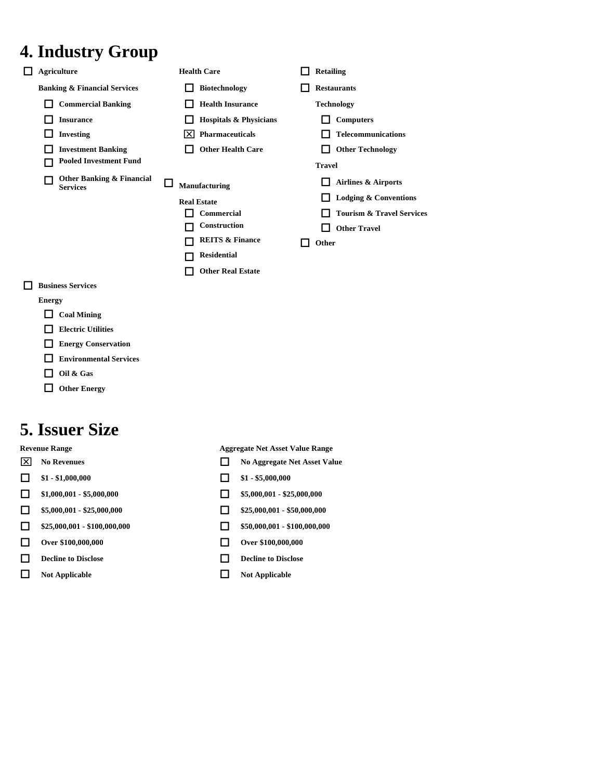### **4. Industry Group**

| <b>Agriculture</b>                           | <b>Health Care</b>                | <b>Retailing</b>                     |
|----------------------------------------------|-----------------------------------|--------------------------------------|
| <b>Banking &amp; Financial Services</b>      | <b>Biotechnology</b>              | <b>Restaurants</b>                   |
| <b>Commercial Banking</b>                    | <b>Health Insurance</b>           | <b>Technology</b>                    |
| <b>Insurance</b>                             | <b>Hospitals &amp; Physicians</b> | <b>Computers</b>                     |
| <b>Investing</b>                             | <b>Pharmaceuticals</b><br>IXI     | <b>Telecommunications</b>            |
| <b>Investment Banking</b>                    | <b>Other Health Care</b>          | <b>Other Technology</b>              |
| <b>Pooled Investment Fund</b>                |                                   | <b>Travel</b>                        |
| Other Banking & Financial<br><b>Services</b> | Manufacturing                     | Airlines & Airports                  |
|                                              | <b>Real Estate</b>                | <b>Lodging &amp; Conventions</b>     |
|                                              | Commercial                        | <b>Tourism &amp; Travel Services</b> |
|                                              | Construction                      | <b>Other Travel</b>                  |
|                                              | <b>REITS &amp; Finance</b>        | Other                                |
|                                              | <b>Residential</b>                |                                      |
|                                              | <b>Other Real Estate</b>          |                                      |
| <b>Business Services</b>                     |                                   |                                      |

- **Energy**
- **Coal Mining**
- **Electric Utilities**
- **Energy Conservation**
- **Environmental Services**
- **Oil & Gas**
- **Other Energy**

### **5. Issuer Size**

- 
- $\Box$  \$1 \$1,000,000  $\Box$  \$1 \$5,000,000
- 
- 
- $\Box$  \$25,000,001 \$100,000,000  $\Box$  \$50,000,001 \$100,000,000
- **Over \$100,000,000 Over \$100,000,000**
- **Decline to Disclose Decline to Disclose**
- **Not Applicable Not Applicable**

**Revenue Range Aggregate Net Asset Value Range** 

- **No Revenues No Revenues No Aggregate Net Asset Value** 
	-
- $\Box$  \$1,000,001 \$5,000,000  $\Box$  \$5,000,001 \$25,000,000
- $\Box$  \$5,000,001 \$25,000,000  $\Box$  \$25,000,001 \$50,000,000
	-
	-
	-
	-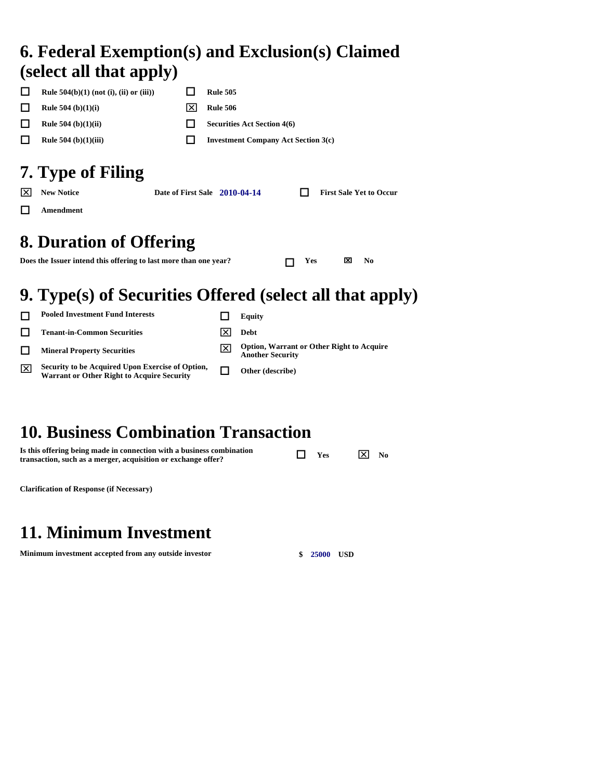#### **6. Federal Exemption(s) and Exclusion(s) Claimed (select all that apply)**

| <b>Rule 504(b)(1) (not (i), (ii) or (iii))</b> |          | <b>Rule 505</b>                            |
|------------------------------------------------|----------|--------------------------------------------|
| <b>Rule 504</b> (b) $(1)(i)$                   | $\times$ | <b>Rule 506</b>                            |
| <b>Rule 504</b> (b) $(1)(ii)$                  |          | <b>Securities Act Section 4(6)</b>         |
| <b>Rule 504</b> (b) $(1)(iii)$                 |          | <b>Investment Company Act Section 3(c)</b> |
| 7. Type of Filing                              |          |                                            |

|    | $ \overline{X} $ New Notice | Date of First Sale 2010-04-14 | $\mathbf{L}$ | <b>First Sale Yet to Occur</b> |
|----|-----------------------------|-------------------------------|--------------|--------------------------------|
| П. | Amendment                   |                               |              |                                |

### **8. Duration of Offering**

**Does the Issuer intend this offering to last more than one year?**  $\Box$  **Yes**  $\Box$  **No** 

### **9. Type(s) of Securities Offered (select all that apply)**

|    | <b>Pooled Investment Fund Interests</b>                                                               | Equity                                                                      |
|----|-------------------------------------------------------------------------------------------------------|-----------------------------------------------------------------------------|
|    | <b>Tenant-in-Common Securities</b>                                                                    | Debt                                                                        |
|    | <b>Mineral Property Securities</b>                                                                    | <b>Option, Warrant or Other Right to Acquire</b><br><b>Another Security</b> |
| ∣× | Security to be Acquired Upon Exercise of Option,<br><b>Warrant or Other Right to Acquire Security</b> | Other (describe)                                                            |
|    |                                                                                                       |                                                                             |

### **10. Business Combination Transaction**

| Is this offering being made in connection with a business combination | $\Box$ Yes | $ \overline{\mathsf{x}} $ No |  |
|-----------------------------------------------------------------------|------------|------------------------------|--|
| transaction, such as a merger, acquisition or exchange offer?         |            |                              |  |

**Clarification of Response (if Necessary)** 

### **11. Minimum Investment**

**Minimum investment accepted from any outside investor \$ 25000 USD**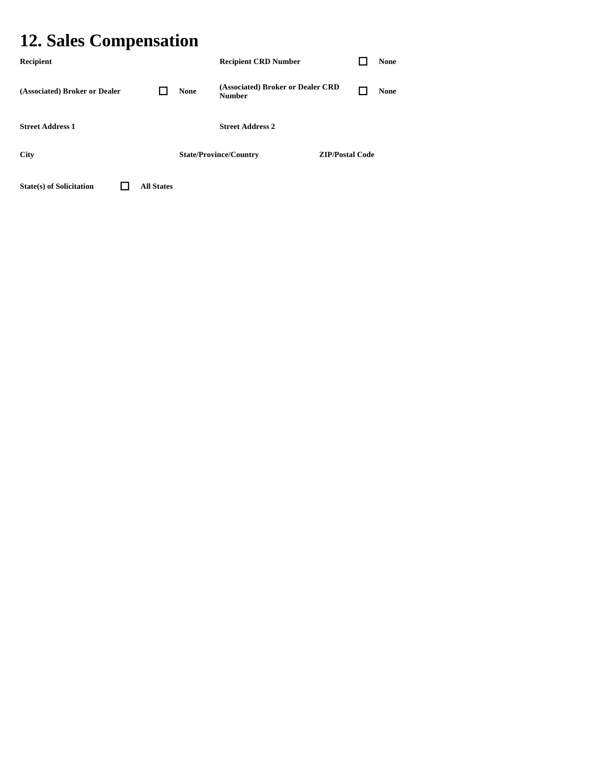### **12. Sales Compensation**

| Recipient                       |                   |             | <b>Recipient CRD Number</b>                        |                        | <b>None</b> |
|---------------------------------|-------------------|-------------|----------------------------------------------------|------------------------|-------------|
| (Associated) Broker or Dealer   |                   | <b>None</b> | (Associated) Broker or Dealer CRD<br><b>Number</b> |                        | <b>None</b> |
| <b>Street Address 1</b>         |                   |             | <b>Street Address 2</b>                            |                        |             |
| <b>City</b>                     |                   |             | <b>State/Province/Country</b>                      | <b>ZIP/Postal Code</b> |             |
| <b>State(s)</b> of Solicitation | <b>All States</b> |             |                                                    |                        |             |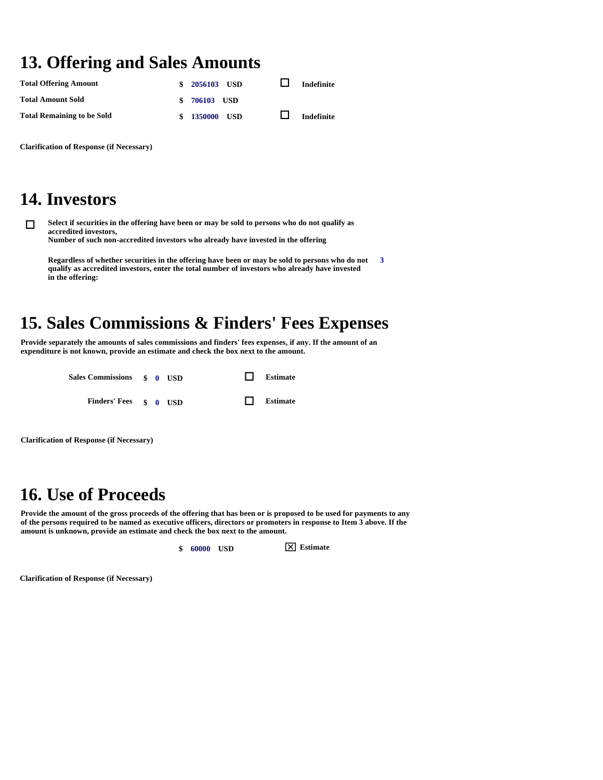### **13. Offering and Sales Amounts**

| <b>Total Offering Amount</b>      | \$ 2056103 USD | <b>Indefinite</b> |
|-----------------------------------|----------------|-------------------|
| <b>Total Amount Sold</b>          | \$ 706103 USD  |                   |
| <b>Total Remaining to be Sold</b> | \$ 1350000 USD | <b>Indefinite</b> |

**Clarification of Response (if Necessary)** 

#### **14. Investors**

 **Select if securities in the offering have been or may be sold to persons who do not qualify as accredited investors, Number of such non-accredited investors who already have invested in the offering** 

**Regardless of whether securities in the offering have been or may be sold to persons who do not qualify as accredited investors, enter the total number of investors who already have invested in the offering: 3** 

### **15. Sales Commissions & Finders' Fees Expenses**

**Provide separately the amounts of sales commissions and finders' fees expenses, if any. If the amount of an expenditure is not known, provide an estimate and check the box next to the amount.** 

| Sales Commissions \$ 0 USD |  | $\Box$ | Estimate |
|----------------------------|--|--------|----------|
| Finders' Fees \$ 0 USD     |  | $\Box$ | Estimate |

**Clarification of Response (if Necessary)** 

#### **16. Use of Proceeds**

**Provide the amount of the gross proceeds of the offering that has been or is proposed to be used for payments to any of the persons required to be named as executive officers, directors or promoters in response to Item 3 above. If the amount is unknown, provide an estimate and check the box next to the amount.** 

**\$ 60000 USD Estimate** 

**Clarification of Response (if Necessary)**